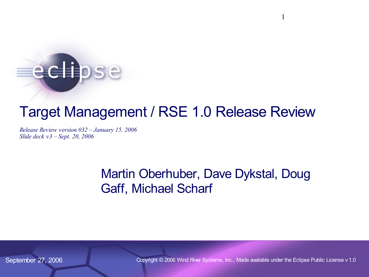# eclipse

# Target Management / RSE 1.0 Release Review

*Release Review version 032 – [January 15, 2006](http://www.eclipse.org/projects/slides/TM-IP_log_1.0.csv) Slide deck v3 – Sept. 20, 2006*

### Martin Oberhuber, Dave Dykstal, Doug Gaff, Michael Scharf

September 27, 2006 Copyright © 2006 Wind River Systems, Inc., Made available under the Eclipse Public License v1.0

1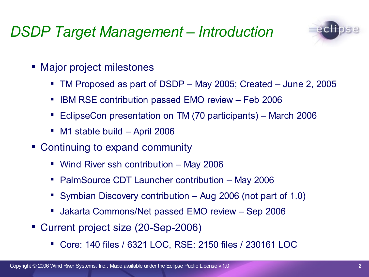# *DSDP Target Management – Introduction*



- Major project milestones
	- TM Proposed as part of DSDP May 2005; Created June 2, 2005
	- IBM RSE contribution passed EMO review Feb 2006
	- EclipseCon presentation on TM (70 participants) March 2006
	- M1 stable build April 2006
- Continuing to expand community
	- Wind River ssh contribution May 2006
	- **PalmSource CDT Launcher contribution May 2006**
	- Symbian Discovery contribution Aug 2006 (not part of 1.0)
	- Jakarta Commons/Net passed EMO review Sep 2006
- Current project size (20-Sep-2006)
	- Core: 140 files / 6321 LOC, RSE: 2150 files / 230161 LOC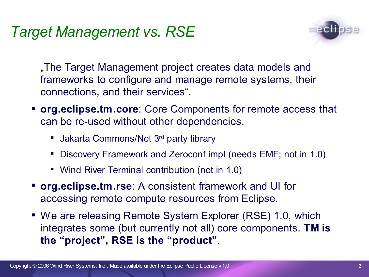# *Target Management vs. RSE*



"The Target Management project creates data models and frameworks to configure and manage remote systems, their connections, and their services".

- **org.eclipse.tm.core**: Core Components for remote access that can be re-used without other dependencies.
	- **Jakarta Commons/Net 3rd party library**
	- Discovery Framework and Zeroconf impl (needs EMF; not in 1.0)
	- Wind River Terminal contribution (not in 1.0)
- **org.eclipse.tm.rse**: A consistent framework and UI for accessing remote compute resources from Eclipse.
- We are releasing Remote System Explorer (RSE) 1.0, which integrates some (but currently not all) core components. **TM is the "project" , RSE is the "product"**.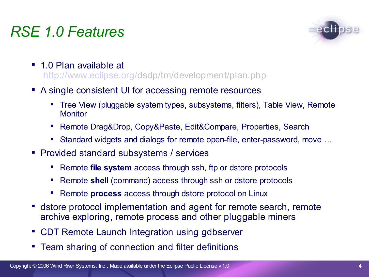# *RSE 1.0 Features*



- 1.0 Plan available at [http://www.eclipse.org/](http://www.eclipse.org/dsdp/tm/development/tm-log.csv)[dsdp/](http://www.eclipse.org/projects/slides/tm_release_review_1.0_log.csv)tm/development/plan.php
- A single consistent UI for accessing remote resources
	- Tree View (pluggable system types, subsystems, filters), Table View, Remote **Monitor**
	- Remote Drag&Drop, Copy&Paste, Edit&Compare, Properties, Search
	- Standard widgets and dialogs for remote open-file, enter-password, move ...
- **Provided standard subsystems / services** 
	- Remote **file system** access through ssh, ftp or dstore protocols
	- Remote **shell** (command) access through ssh or dstore protocols
	- Remote **process** access through dstore protocol on Linux
- dstore protocol implementation and agent for remote search, remote archive exploring, remote process and other pluggable miners
- CDT Remote Launch Integration using gdbserver
- **Team sharing of connection and filter definitions**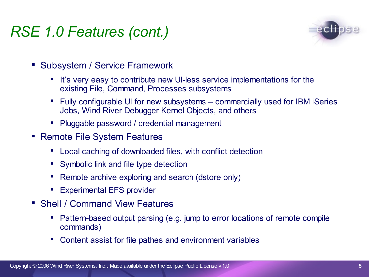# *RSE 1.0 Features (cont.)*



- Subsystem / Service Framework
	- It's very easy to contribute new UI-less service implementations for the existing File, Command, Processes subsystems
	- Fully configurable UI for new subsystems commercially used for IBM iSeries Jobs, Wind River Debugger Kernel Objects, and others
	- Pluggable password / credential management
- Remote File System Features
	- Local caching of downloaded files, with conflict detection
	- **Symbolic link and file type detection**
	- Remote archive exploring and search (dstore only)
	- Experimental EFS provider
- Shell / Command View Features
	- Pattern-based output parsing (e.g. jump to error locations of remote compile commands)
	- Content assist for file pathes and environment variables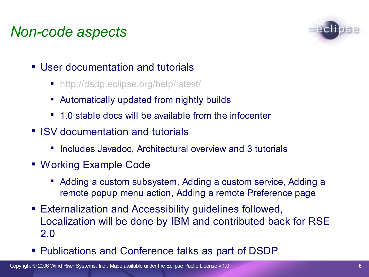# *Non-code aspects*



- **User documentation and tutorials** 
	- http://dsdp.eclipse.org/help/latest/
	- Automatically updated from nightly builds
	- 1.0 stable docs will be available from the infocenter
- **ISV** documentation and tutorials
	- **Includes Javadoc, Architectural overview and 3 tutorials**
- Working Example Code
	- Adding a custom subsystem, Adding a custom service, Adding a remote popup menu action, Adding a remote Preference page
- Externalization and Accessibility guidelines followed, Localization will be done by IBM and contributed back for RSE 2.0
- **Publications and Conference talks as part of DSDP**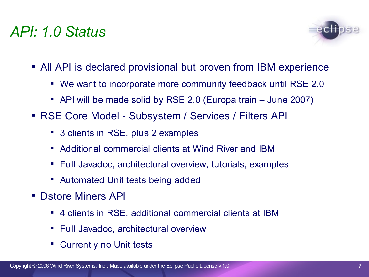### *API: 1.0 Status*



- All API is declared provisional but proven from IBM experience
	- We want to incorporate more community feedback until RSE 2.0
	- API will be made solid by RSE 2.0 (Europa train June 2007)
- RSE Core Model Subsystem / Services / Filters API
	- 3 clients in RSE, plus 2 examples
	- Additional commercial clients at Wind River and IBM
	- Full Javadoc, architectural overview, tutorials, examples
	- **Automated Unit tests being added**
- **Distore Miners API** 
	- 4 clients in RSE, additional commercial clients at IBM
	- **Full Javadoc, architectural overview**
	- Currently no Unit tests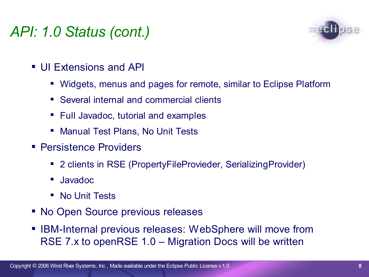# *API: 1.0 Status (cont.)*



- UI Extensions and API
	- Widgets, menus and pages for remote, similar to Eclipse Platform
	- Several internal and commercial clients
	- **Full Javadoc, tutorial and examples**
	- Manual Test Plans, No Unit Tests
- **Persistence Providers** 
	- 2 clients in RSE (PropertyFileProvieder, SerializingProvider)
	- Javadoc
	- **No Unit Tests**
- No Open Source previous releases
- IBM-Internal previous releases: WebSphere will move from RSE 7.x to openRSE 1.0 – Migration Docs will be written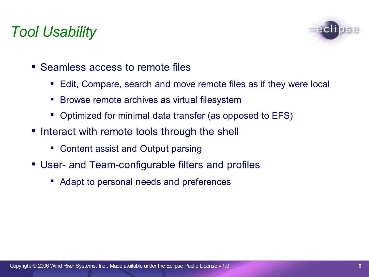# *Tool Usability*



- Seamless access to remote files
	- Edit, Compare, search and move remote files as if they were local
	- **Browse remote archives as virtual filesystem**
	- Optimized for minimal data transfer (as opposed to EFS)
- **Interact with remote tools through the shell** 
	- Content assist and Output parsing
- User- and Team-configurable filters and profiles
	- Adapt to personal needs and preferences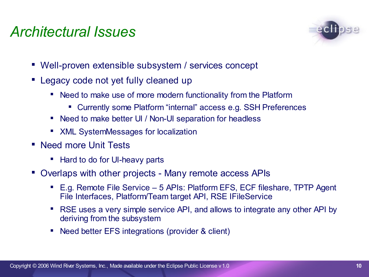### *Architectural Issues*



- Well-proven extensible subsystem / services concept
- Legacy code not yet fully cleaned up
	- Need to make use of more modern functionality from the Platform
		- Currently some Platform "internal" access e.g. SSH Preferences
	- Need to make better UI / Non-UI separation for headless
	- **XML SystemMessages for localization**
- Need more Unit Tests
	- Hard to do for UI-heavy parts
- Overlaps with other projects Many remote access APIs
	- E.g. Remote File Service 5 APIs: Platform EFS, ECF fileshare, TPTP Agent File Interfaces, Platform/Team target API, RSE IFileService
	- RSE uses a very simple service API, and allows to integrate any other API by deriving from the subsystem
	- Need better EFS integrations (provider & client)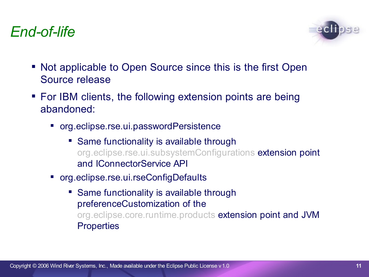

- Not applicable to Open Source since this is the first Open Source release
- For IBM clients, the following extension points are being abandoned:
	- org.eclipse.rse.ui.passwordPersistence
		- Same functionality is available through org.eclipse.rse.ui.subsystemConfigurations extension point and IConnectorService API
	- org.eclipse.rse.ui.rseConfigDefaults
		- Same functionality is available through preferenceCustomization of the org.eclipse.core.runtime.products extension point and JVM **Properties**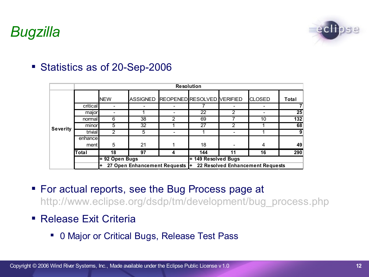# *Bugzilla*



#### Statistics as of 20-Sep-2006

|                 |          | <b>Resolution</b>               |    |                              |                                     |    |               |       |
|-----------------|----------|---------------------------------|----|------------------------------|-------------------------------------|----|---------------|-------|
| <b>Severity</b> |          | <b>NEW</b>                      |    |                              | ASSIGNED REOPENED RESOLVED VERIFIED |    | <b>CLOSED</b> | Total |
|                 | critical |                                 |    |                              |                                     |    |               |       |
|                 | major    |                                 |    |                              | 22                                  | 2  |               | 25    |
|                 | normal   | 6                               | 38 | 2                            | 69                                  |    | 10            | 132   |
|                 | minor    | 5                               | 32 |                              | 27                                  | 2  |               | 68    |
|                 | trivial  | 2                               | 5  | $\qquad \qquad \blacksquare$ |                                     |    |               | 9     |
|                 | enhance  |                                 |    |                              |                                     |    |               |       |
|                 | ment     | 5                               | 21 |                              | 18                                  |    | 4             | 49    |
|                 | Total    | 18                              | 97 | 4                            | 144                                 | 11 | 16            | 290   |
|                 |          | = 92 Open Bugs                  |    |                              | = 149 Resolved Bugs                 |    |               |       |
|                 |          | 27 Open Enhancement Requests  + |    |                              | 22 Resolved Enhancement Requests    |    |               |       |

- For actual reports, see the Bug Process page at http://www.eclipse.org/dsdp/tm/development/bug\_process.php
- Release Exit Criteria
	- **O Major or Critical Bugs, Release Test Pass**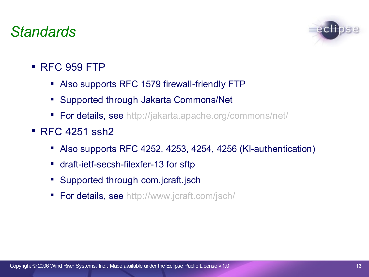### *Standards*



- **RFC 959 FTP** 
	- Also supports RFC 1579 firewall-friendly FTP
	- **Supported through Jakarta Commons/Net**
	- **For details, see http://jakarta.apache.org/commons/net/**
- $RFC 4251$  ssh2
	- Also supports RFC 4252, 4253, 4254, 4256 (KI-authentication)
	- draft-ietf-secsh-filexfer-13 for sftp
	- **Supported through com.jcraft.jsch**
	- **For details, see http://www.jcraft.com/jsch/**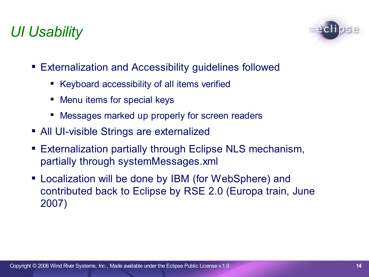# *UI Usability*



- Externalization and Accessibility guidelines followed
	- Keyboard accessibility of all items verified
	- **Menu items for special keys**
	- Messages marked up properly for screen readers
- **All UI-visible Strings are externalized**
- Externalization partially through Eclipse NLS mechanism, partially through systemMessages.xml
- Localization will be done by IBM (for WebSphere) and contributed back to Eclipse by RSE 2.0 (Europa train, June 2007)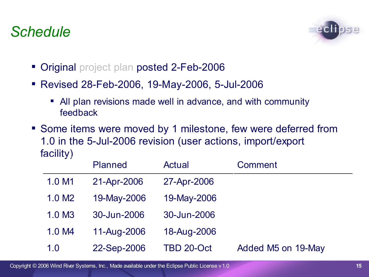### *Schedule*



- Original project plan posted 2-Feb-2006
- Revised 28-Feb-2006, 19-May-2006, 5-Jul-2006
	- All plan revisions made well in advance, and with community feedback
- Some items were moved by 1 milestone, few were deferred from 1.0 in the 5-Jul-2006 revision (user actions, import/export facility)

|                    | <b>Planned</b> | <b>Actual</b> | Comment            |
|--------------------|----------------|---------------|--------------------|
| 1.0 M1             | 21-Apr-2006    | 27-Apr-2006   |                    |
| 1.0 M <sub>2</sub> | 19-May-2006    | 19-May-2006   |                    |
| 1.0 M <sub>3</sub> | 30-Jun-2006    | 30-Jun-2006   |                    |
| 1.0 M4             | 11-Aug-2006    | 18-Aug-2006   |                    |
| 1.0                | 22-Sep-2006    | TBD 20-Oct    | Added M5 on 19-May |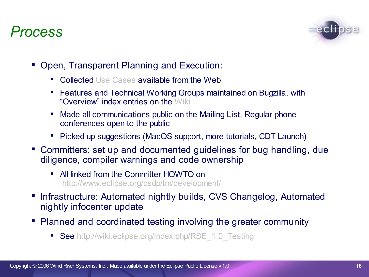### *Process*



- Open, Transparent Planning and Execution:
	- Collected Use Cases available from the Web
	- Features and Technical Working Groups maintained on Bugzilla, with "Overview" index entries on the Wiki
	- Made all communications public on the Mailing List, Regular phone conferences open to the public
	- Picked up suggestions (MacOS support, more tutorials, CDT Launch)
- Committers: set up and documented guidelines for bug handling, due diligence, compiler warnings and code ownership
	- All linked from the Committer HOWTO on http://www.eclipse.org/dsdp/tm/development/
- **Infrastructure: Automated nightly builds, CVS Changelog, Automated** nightly infocenter update
- Planned and coordinated testing involving the greater community
	- See http://wiki.eclipse.org/index.php/RSE\_1.0\_Testing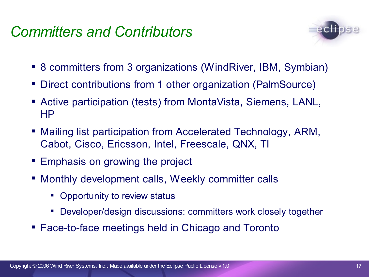### *Committers and Contributors*



- 8 committers from 3 organizations (WindRiver, IBM, Symbian)
- Direct contributions from 1 other organization (PalmSource)
- Active participation (tests) from MontaVista, Siemens, LANL, HP
- Mailing list participation from Accelerated Technology, ARM, Cabot, Cisco, Ericsson, Intel, Freescale, QNX, TI
- **Emphasis on growing the project**
- Monthly development calls, Weekly committer calls
	- Opportunity to review status
	- Developer/design discussions: committers work closely together
- Face-to-face meetings held in Chicago and Toronto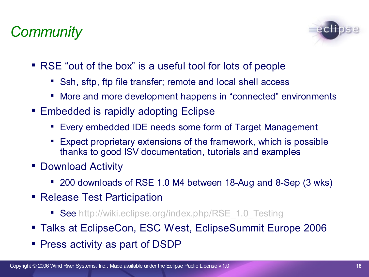# *Community*



- RSE "out of the box" is a useful tool for lots of people
	- Ssh, sftp, ftp file transfer; remote and local shell access
	- More and more development happens in "connected" environments
- Embedded is rapidly adopting Eclipse
	- Every embedded IDE needs some form of Target Management
	- Expect proprietary extensions of the framework, which is possible thanks to good ISV documentation, tutorials and examples
- Download Activity
	- 200 downloads of RSE 1.0 M4 between 18-Aug and 8-Sep (3 wks)
- Release Test Participation
	- See http://wiki.eclipse.org/index.php/RSE\_1.0\_Testing
- Talks at EclipseCon, ESC West, EclipseSummit Europe 2006
- Press activity as part of DSDP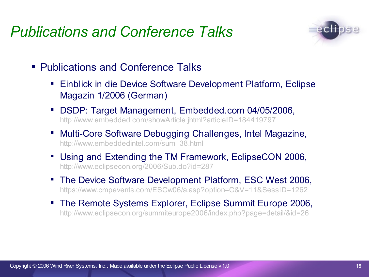### *Publications and Conference Talks*



- Publications and Conference Talks
	- Einblick in die Device Software Development Platform, Eclipse Magazin 1/2006 (German)
	- DSDP: Target Management, Embedded.com 04/05/2006, http://www.embedded.com/showArticle.jhtml?articleID=184419797
	- Multi-Core Software Debugging Challenges, Intel Magazine, http://www.embeddedintel.com/sum\_38.html
	- Using and Extending the TM Framework, EclipseCON 2006, http://www.eclipsecon.org/2006/Sub.do?id=287
	- The Device Software Development Platform, ESC West 2006, https://www.cmpevents.com/ESCw06/a.asp?option=C&V=11&SessID=1262
	- The Remote Systems Explorer, Eclipse Summit Europe 2006, http://www.eclipsecon.org/summiteurope2006/index.php?page=detail/&id=26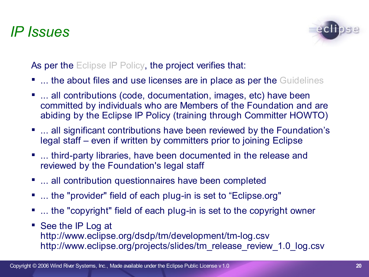### *IP Issues*



As per the Eclipse IP Policy, the project verifies that:

- **... the about files and use licenses are in place as per the Guidelines**
- ... all contributions (code, documentation, images, etc) have been committed by individuals who are Members of the Foundation and are abiding by the Eclipse IP Policy (training through Committer HOWTO)
- **...** all significant contributions have been reviewed by the Foundation's legal staff – even if written by committers prior to joining Eclipse
- ... third-party libraries, have been documented in the release and reviewed by the Foundation's legal staff
- **...** all contribution questionnaires have been completed
- ... the "provider" field of each plug-in is set to "Eclipse.org"
- ... the "copyright" field of each plug-in is set to the copyright owner
- See the IP Log at http://www.eclipse.org/dsdp/tm/development/tm-log.csv http://www.eclipse.org/projects/slides/tm\_release\_review\_1.0\_log.csv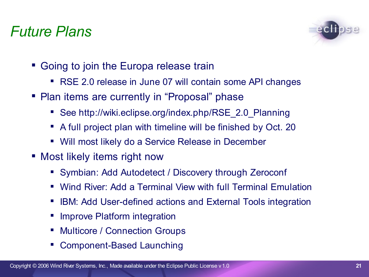### *Future Plans*



- Going to join the Europa release train
	- RSE 2.0 release in June 07 will contain some API changes
- Plan items are currently in "Proposal" phase
	- See http://wiki.eclipse.org/index.php/RSE\_2.0\_Planning
	- A full project plan with timeline will be finished by Oct. 20
	- Will most likely do a Service Release in December
- Most likely items right now
	- Symbian: Add Autodetect / Discovery through Zeroconf
	- Wind River: Add a Terminal View with full Terminal Emulation
	- **IFM: Add User-defined actions and External Tools integration**
	- **If Improve Platform integration**
	- **Multicore / Connection Groups**
	- Component-Based Launching